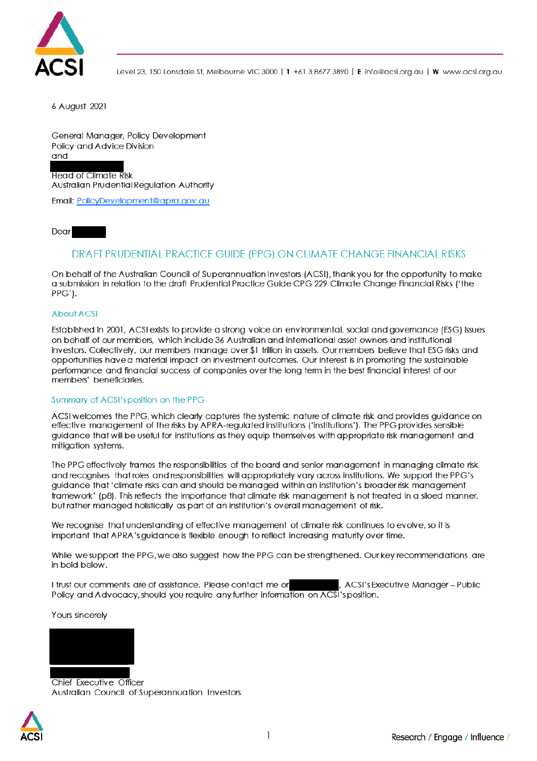

Level 23, 150 Lonsdale St, Melbourne VIC 3000 | T +61 3 8677 3890 | E info@acsi.org.au | W www.acsi.org.au

6 August 2021

General Manager, Policy Development **Policy and Advice Division** and

**Head of Climate Risk Australian Prudential Regulation Authority** 

Email: PolicyDevelopment@apra.gov.au

Dear

# DRAFT PRUDENTIAL PRACTICE GUIDE (PPG) ON CLIMATE CHANGE FINANCIAL RISKS

On behalf of the Australian Council of Superannuation Investors (ACSI), thank you for the opportunity to make a submission in relation to the draft Prudential Practice Guide CPG 229 Climate Change Financial Risks ('the PPG').

### **About ACSI**

Established in 2001, ACSI exists to provide a strong voice on environmental, social and governance (ESG) issues on behalf of our members, which include 36 Australian and international asset owners and institutional investors. Collectively, our members manage over \$1 trillion in assets. Our members believe that ESG risks and opportunities have a material impact on investment outcomes. Our interest is in promoting the sustainable performance and financial success of companies over the long term in the best financial interest of our members' beneficiaries.

#### Summary of ACSI's position on the PPG

ACSI welcomes the PPG, which clearly captures the systemic nature of climate risk and provides guidance on effective management of the risks by APRA-regulated institutions ('institutions'). The PPG provides sensible guidance that will be useful for institutions as they equip themselves with appropriate risk management and mitigation systems.

The PPG effectively frames the responsibilities of the board and senior management in managing climate risk and recognises that roles and responsibilities will appropriately vary across institutions. We support the PPG's guidance that 'climate risks can and should be managed within an institution's broader risk management framework' (p8). This reflects the importance that climate risk management is not treated in a siloed manner, but rather managed holistically as part of an institution's overall management of risk.

We recognise that understanding of effective management of climate risk continues to evolve, so it is important that APRA's guidance is flexible enough to reflect increasing maturity over time.

While we support the PPG, we also suggest how the PPG can be strengthened. Our key recommendations are in bold below.

I trust our comments are of assistance. Please contact me or , ACSI's Executive Manager-Public Policy and Advocacy, should you require any further information on ACSI's position.

**Yours sincerely** 



**Chief Executive Officer** Australian Council of Superannuation Investors

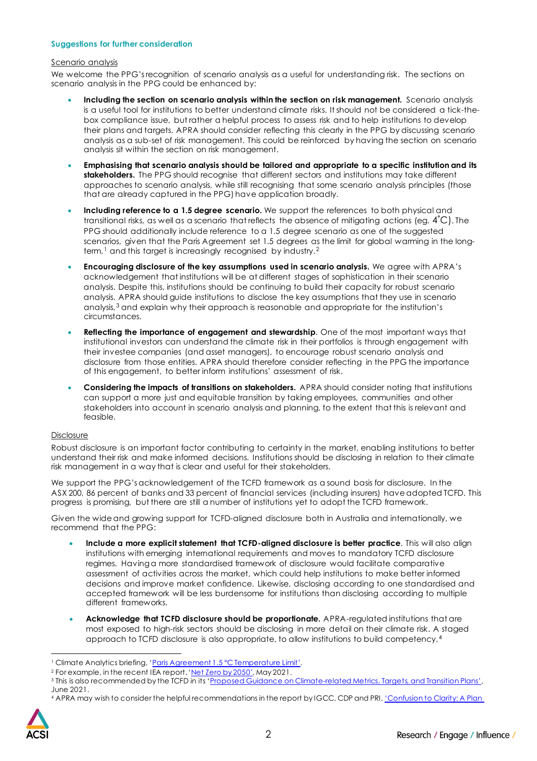## **Suggestions for further consideration**

#### Scenario analysis

We welcome the PPG's recognition of scenario analysis as a useful for understanding risk. The sections on scenario analysis in the PPG could be enhanced by:

- **Including the section on scenario analysis within the section on risk management.** Scenario analysis is a useful tool for institutions to better understand climate risks. It should not be considered a tick-thebox compliance issue, but rather a helpful process to assess risk and to help institutions to develop their plans and targets. APRA should consider reflecting this clearly in the PPG by discussing scenario analysis as a sub-set of risk management. This could be reinforced by having the section on scenario analysis sit within the section on risk management.
- **Emphasising that scenario analysis should be tailored and appropriate to a specific institution and its stakeholders.** The PPG should recognise that different sectors and institutions may take different approaches to scenario analysis, while still recognising that some scenario analysis principles (those that are already captured in the PPG) have application broadly.
- **Including reference to a 1.5 degree scenario.** We support the references to both physical and transitional risks, as well as a scenario that reflects the absence of mitigating actions (eg. 4˚C). The PPG should additionally include reference to a 1.5 degree scenario as one of the suggested scenarios, given that the Paris Agreement set 1.5 degrees as the limit for global warming in the longterm,<sup>1</sup> and this target is increasingly recognised by industry.<sup>2</sup>
- **Encouraging disclosure of the key assumptions used in scenario analysis.** We agree with APRA's acknowledgement that institutions will be at different stages of sophistication in their scenario analysis. Despite this, institutions should be continuing to build their capacity for robust scenario analysis. APRA should guide institutions to disclose the key assumptions that they use in scenario analysis,3 and explain why their approach is reasonable and appropriate for the institution's circumstances.
- **Reflecting the importance of engagement and stewardship**. One of the most important ways that institutional investors can understand the climate risk in their portfolios is through engagement with their investee companies (and asset managers), to encourage robust scenario analysis and disclosure from those entities. APRA should therefore consider reflecting in the PPG the importance of this engagement, to better inform institutions' assessment of risk.
- **Considering the impacts of transitions on stakeholders.** APRA should consider noting that institutions can support a more just and equitable transition by taking employees, communities and other stakeholders into account in scenario analysis and planning, to the extent that this is relevant and feasible.

## Disclosure

Robust disclosure is an important factor contributing to certainty in the market, enabling institutions to better understand their risk and make informed decisions. Institutions should be disclosing in relation to their climate risk management in a way that is clear and useful for their stakeholders.

We support the PPG'sacknowledgement of the TCFD framework as a sound basis for disclosure. In the ASX 200, 86 percent of banks and 33 percent of financial services (including insurers) have adopted TCFD. This progress is promising, but there are still a number of institutions yet to adopt the TCFD framework.

Given the wide and growing support for TCFD-aligned disclosure both in Australia and internationally, we recommend that the PPG:

- **Include a more explicit statement that TCFD-aligned disclosure is better practice**. This will also align institutions with emerging international requirements and moves to mandatory TCFD disclosure regimes. Having a more standardised framework of disclosure would facilitate comparative assessment of activities across the market, which could help institutions to make better informed decisions and improve market confidence. Likewise, disclosing according to one standardised and accepted framework will be less burdensome for institutions than disclosing according to multiple different frameworks.
- **Acknowledge that TCFD disclosure should be proportionate.** APRA-regulated institutions that are most exposed to high-risk sectors should be disclosing in more detail on their climate risk. A staged approach to TCFD disclosure is also appropriate, to allow institutions to build competency.4

<sup>4</sup> APRA may wish to consider the helpful recommendations in the report by IGCC, CDP and PRI, 'Confusion to Clarity: A Plan



<sup>&</sup>lt;sup>1</sup> Climate Analytics briefing, 'Paris Agreement 1.5 °C Temperature Limit'.

<sup>&</sup>lt;sup>2</sup> For example, in the recent IEA report, 'Net Zero by 2050', May 2021.

<sup>&</sup>lt;sup>3</sup> This is also recommended by the TCFD in its 'Proposed Guidance on Climate-related Metrics, Targets, and Transition Plans', June 2021.